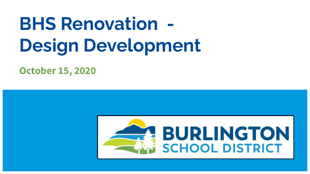# **BHS Renovation - Design Development**

**October 15, 2020**

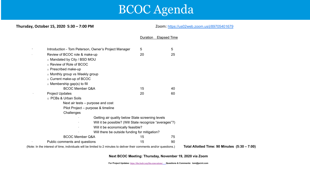# BCOC Agenda

Duration Elapsed Time

#### **Thursday, October 15, 2020 5:30 – 7:00 PM**  $Z$ oom: <https://us02web.zoom.us/j/89705401679>

| Introduction - Tom Peterson, Owner's Project Manager                                                                  | 5  | 5  |                                               |
|-----------------------------------------------------------------------------------------------------------------------|----|----|-----------------------------------------------|
| Review of BCOC role & make-up                                                                                         | 20 | 25 |                                               |
| o Mandated by City / BSD MOU                                                                                          |    |    |                                               |
| ○ Review of Role of BCOC                                                                                              |    |    |                                               |
| o Prescribed make-up                                                                                                  |    |    |                                               |
| ○ Monthly group vs Weekly group                                                                                       |    |    |                                               |
| ○ Current make-up of BCOC                                                                                             |    |    |                                               |
| $\circ$ Membership gap(s) to fill                                                                                     |    |    |                                               |
| <b>BCOC Member Q&amp;A</b>                                                                                            | 15 | 40 |                                               |
| <b>Project Updates</b>                                                                                                | 20 | 60 |                                               |
| ○ PCBs & Urban Soils                                                                                                  |    |    |                                               |
| Next air tests – purpose and cost                                                                                     |    |    |                                               |
| Pilot Project – purpose & timeline                                                                                    |    |    |                                               |
| Challenges                                                                                                            |    |    |                                               |
| Getting air quality below State screening levels                                                                      |    |    |                                               |
| Will it be possible? (Will State recognize "averages"?)                                                               |    |    |                                               |
| Will it be economically feasible?                                                                                     |    |    |                                               |
| Will there be outside funding for mitigation?                                                                         |    |    |                                               |
| <b>BCOC Member Q&amp;A</b>                                                                                            | 15 | 75 |                                               |
| Public comments and questions                                                                                         | 15 | 90 |                                               |
| (Note: In the interest of time, individuals will be limited to 2 minutes to deliver their comments and/or questions.) |    |    | Total Allotted Time: 90 Minutes (5:30 - 7:00) |

**Next BCOC Meeting: Thursday, November 19, 2020 via Zoom**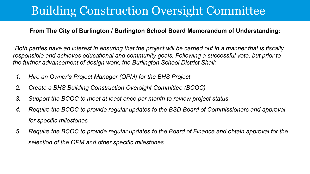# Building Construction Oversight Committee

#### **From The City of Burlington / Burlington School Board Memorandum of Understanding:**

*"Both parties have an interest in ensuring that the project will be carried out in a manner that is fiscally responsible and achieves educational and community goals. Following a successful vote, but prior to the further advancement of design work, the Burlington School District Shall:*

- *1. Hire an Owner's Project Manager (OPM) for the BHS Project*
- *2. Create a BHS Building Construction Oversight Committee (BCOC)*
- *3. Support the BCOC to meet at least once per month to review project status*
- *4. Require the BCOC to provide regular updates to the BSD Board of Commissioners and approval for specific milestones*
- *5. Require the BCOC to provide regular updates to the Board of Finance and obtain approval for the selection of the OPM and other specific milestones*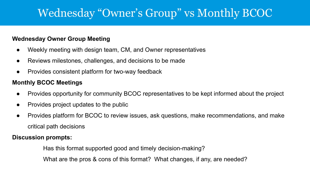### Wednesday "Owner's Group" vs Monthly BCOC

#### **Wednesday Owner Group Meeting**

- Weekly meeting with design team, CM, and Owner representatives
- Reviews milestones, challenges, and decisions to be made
- Provides consistent platform for two-way feedback

#### **Monthly BCOC Meetings**

- Provides opportunity for community BCOC representatives to be kept informed about the project
- Provides project updates to the public
- Provides platform for BCOC to review issues, ask questions, make recommendations, and make critical path decisions

#### **Discussion prompts:**

Has this format supported good and timely decision-making?

What are the pros & cons of this format? What changes, if any, are needed?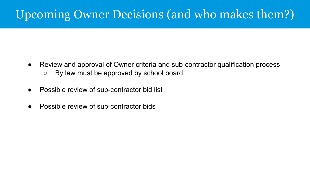# Upcoming Owner Decisions (and who makes them?)

- Review and approval of Owner criteria and sub-contractor qualification process
	- By law must be approved by school board
- Possible review of sub-contractor bid list
- Possible review of sub-contractor bids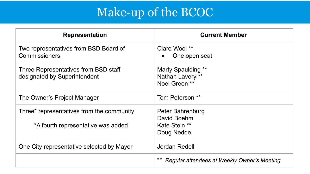# Make-up of the BCOC

| <b>Representation</b>                                                           | <b>Current Member</b>                                          |  |
|---------------------------------------------------------------------------------|----------------------------------------------------------------|--|
| Two representatives from BSD Board of<br>Commissioners                          | Clare Wool **<br>One open seat                                 |  |
| Three Representatives from BSD staff<br>designated by Superintendent            | Marty Spaulding **<br>Nathan Lavery **<br>Noel Green **        |  |
| The Owner's Project Manager                                                     | Tom Peterson **                                                |  |
| Three* representatives from the community<br>*A fourth representative was added | Peter Bahrenburg<br>David Boehm<br>Kate Stein **<br>Doug Nedde |  |
| One City representative selected by Mayor                                       | Jordan Redell                                                  |  |
|                                                                                 | Regular attendees at Weekly Owner's Meeting                    |  |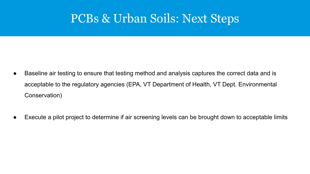# PCBs & Urban Soils: Next Steps

- Baseline air testing to ensure that testing method and analysis captures the correct data and is acceptable to the regulatory agencies (EPA, VT Department of Health, VT Dept. Environmental Conservation)
- Execute a pilot project to determine if air screening levels can be brought down to acceptable limits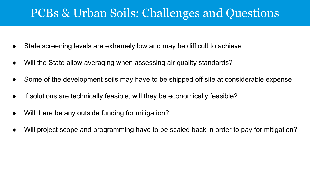## PCBs & Urban Soils: Challenges and Questions

- State screening levels are extremely low and may be difficult to achieve
- Will the State allow averaging when assessing air quality standards?
- Some of the development soils may have to be shipped off site at considerable expense
- If solutions are technically feasible, will they be economically feasible?
- Will there be any outside funding for mitigation?
- Will project scope and programming have to be scaled back in order to pay for mitigation?